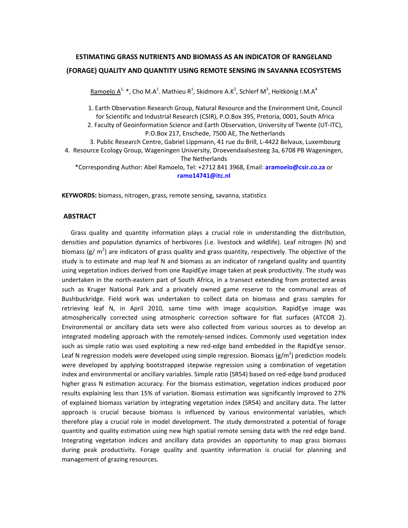# **ESTIMATING GRASS NUTRIENTS AND BIOMASS AS AN INDICATOR OF RANGELAND (FORAGE) QUALITY AND QUANTITY USING REMOTE SENSING IN SAVANNA ECOSYSTEMS**

 $R$ amoelo  $A^{1, *}$ , Cho M.A<sup>1</sup>. Mathieu R<sup>1</sup>, Skidmore A.K<sup>2</sup>, Schlerf M<sup>3</sup>, Heitkönig I.M.A<sup>4</sup>

1. Earth Observation Research Group, Natural Resource and the Environment Unit, Council for Scientific and Industrial Research (CSIR), P.O.Box 395, Pretoria, 0001, South Africa

2. Faculty of Geoinformation Science and Earth Observation, University of Twente (UT‐ITC), P.O.Box 217, Enschede, 7500 AE, The Netherlands

3. Public Research Centre, Gabriel Lippmann, 41 rue du Brill, L‐4422 Belvaux, Luxembourg 4. Resource Ecology Group, Wageningen University, Droevendaalsesteeg 3a, 6708 PB Wageningen, The Netherlands

\*Corresponding Author: Abel Ramoelo, Tel: +2712 841 3968, Email: **aramoelo@csir.co.za** or **ramo14741@itc.nl**

**KEYWORDS:** biomass, nitrogen, grass, remote sensing, savanna, statistics

## **ABSTRACT**

Grass quality and quantity information plays a crucial role in understanding the distribution, densities and population dynamics of herbivores (i.e. livestock and wildlife). Leaf nitrogen (N) and biomass (g/  $m^2$ ) are indicators of grass quality and grass quantity, respectively. The objective of the study is to estimate and map leaf N and biomass as an indicator of rangeland quality and quantity using vegetation indices derived from one RapidEye image taken at peak productivity. The study was undertaken in the north‐eastern part of South Africa, in a transect extending from protected areas such as Kruger National Park and a privately owned game reserve to the communal areas of Bushbuckridge. Field work was undertaken to collect data on biomass and grass samples for retrieving leaf N, in April 2010, same time with image acquisition. RapidEye image was atmospherically corrected using atmospheric correction software for flat surfaces (ATCOR 2). Environmental or ancillary data sets were also collected from various sources as to develop an integrated modeling approach with the remotely‐sensed indices. Commonly used vegetation index such as simple ratio was used exploiting a new red-edge band embedded in the RapidEye sensor. Leaf N regression models were developed using simple regression. Biomass (g/m<sup>2</sup>) prediction models were developed by applying bootstrapped stepwise regression using a combination of vegetation index and environmental or ancillary variables. Simple ratio (SR54) based on red‐edge band produced higher grass N estimation accuracy. For the biomass estimation, vegetation indices produced poor results explaining less than 15% of variation. Biomass estimation was significantly improved to 27% of explained biomass variation by integrating vegetation index (SR54) and ancillary data. The latter approach is crucial because biomass is influenced by various environmental variables, which therefore play a crucial role in model development. The study demonstrated a potential of forage quantity and quality estimation using new high spatial remote sensing data with the red edge band. Integrating vegetation indices and ancillary data provides an opportunity to map grass biomass during peak productivity. Forage quality and quantity information is crucial for planning and management of grazing resources.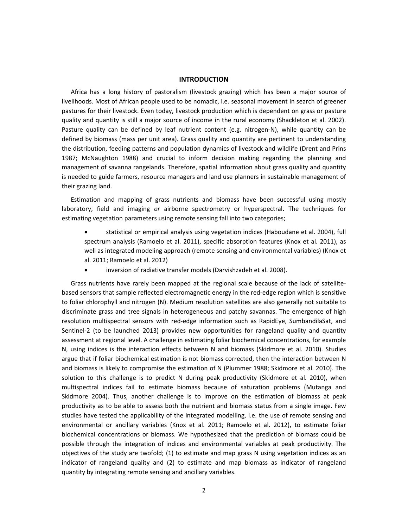#### **INTRODUCTION**

Africa has a long history of pastoralism (livestock grazing) which has been a major source of livelihoods. Most of African people used to be nomadic, i.e. seasonal movement in search of greener pastures for their livestock. Even today, livestock production which is dependent on grass or pasture quality and quantity is still a major source of income in the rural economy (Shackleton et al. 2002). Pasture quality can be defined by leaf nutrient content (e.g. nitrogen-N), while quantity can be defined by biomass (mass per unit area). Grass quality and quantity are pertinent to understanding the distribution, feeding patterns and population dynamics of livestock and wildlife (Drent and Prins 1987; McNaughton 1988) and crucial to inform decision making regarding the planning and management of savanna rangelands. Therefore, spatial information about grass quality and quantity is needed to guide farmers, resource managers and land use planners in sustainable management of their grazing land.

Estimation and mapping of grass nutrients and biomass have been successful using mostly laboratory, field and imaging *or* airborne spectrometry or hyperspectral. The techniques for estimating vegetation parameters using remote sensing fall into two categories;

- statistical or empirical analysis using vegetation indices (Haboudane et al. 2004), full spectrum analysis (Ramoelo et al. 2011), specific absorption features (Knox et al. 2011), as well as integrated modeling approach (remote sensing and environmental variables) (Knox et al. 2011; Ramoelo et al. 2012)
- inversion of radiative transfer models (Darvishzadeh et al. 2008).

Grass nutrients have rarely been mapped at the regional scale because of the lack of satellite‐ based sensors that sample reflected electromagnetic energy in the red-edge region which is sensitive to foliar chlorophyll and nitrogen (N). Medium resolution satellites are also generally not suitable to discriminate grass and tree signals in heterogeneous and patchy savannas. The emergence of high resolution multispectral sensors with red‐edge information such as RapidEye, SumbandilaSat, and Sentinel-2 (to be launched 2013) provides new opportunities for rangeland quality and quantity assessment at regional level. A challenge in estimating foliar biochemical concentrations, for example N, using indices is the interaction effects between N and biomass (Skidmore et al. 2010). Studies argue that if foliar biochemical estimation is not biomass corrected, then the interaction between N and biomass is likely to compromise the estimation of N (Plummer 1988; Skidmore et al. 2010). The solution to this challenge is to predict N during peak productivity (Skidmore et al. 2010), when multispectral indices fail to estimate biomass because of saturation problems (Mutanga and Skidmore 2004). Thus, another challenge is to improve on the estimation of biomass at peak productivity as to be able to assess both the nutrient and biomass status from a single image. Few studies have tested the applicability of the integrated modelling, i.e. the use of remote sensing and environmental or ancillary variables (Knox et al. 2011; Ramoelo et al. 2012), to estimate foliar biochemical concentrations or biomass. We hypothesized that the prediction of biomass could be possible through the integration of indices and environmental variables at peak productivity. The objectives of the study are twofold; (1) to estimate and map grass N using vegetation indices as an indicator of rangeland quality and (2) to estimate and map biomass as indicator of rangeland quantity by integrating remote sensing and ancillary variables.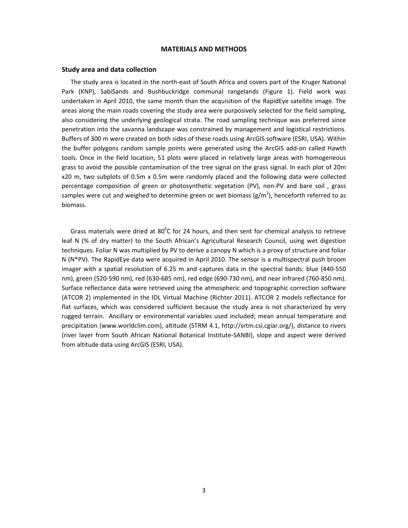#### **MATERIALS AND METHODS**

#### **Study area and data collection**

The study area is located in the north‐east of South Africa and covers part of the Kruger National Park (KNP), SabiSands and Bushbuckridge communal rangelands (Figure 1). Field work was undertaken in April 2010, the same month than the acquisition of the RapidEye satellite image. The areas along the main roads covering the study area were purposively selected for the field sampling, also considering the underlying geological strata. The road sampling technique was preferred since penetration into the savanna landscape was constrained by management and logistical restrictions. Buffers of 300 m were created on both sides of these roads using ArcGIS software (ESRI, USA). Within the buffer polygons random sample points were generated using the ArcGIS add‐on called Hawth tools. Once in the field location, 51 plots were placed in relatively large areas with homogeneous grass to avoid the possible contamination of the tree signal on the grass signal. In each plot of 20m x20 m, two subplots of 0.5m x 0.5m were randomly placed and the following data were collected percentage composition of green or photosynthetic vegetation (PV), non-PV and bare soil, grass samples were cut and weighed to determine green or wet biomass (g/m<sup>2</sup>), henceforth referred to as biomass.

Grass materials were dried at  $80^{\circ}$ C for 24 hours, and then sent for chemical analysis to retrieve leaf N (% of dry matter) to the South African's Agricultural Research Council, using wet digestion techniques. Foliar N was multiplied by PV to derive a canopy N which is a proxy of structure and foliar N (N\*PV). The RapidEye data were acquired in April 2010. The sensor is a multispectral push broom imager with a spatial resolution of 6.25 m and captures data in the spectral bands: blue (440‐550 nm), green (520‐590 nm), red (630‐685 nm), red edge (690‐730 nm), and near infrared (760‐850 nm). Surface reflectance data were retrieved using the atmospheric and topographic correction software (ATCOR 2) implemented in the IDL Virtual Machine (Richter 2011). ATCOR 2 models reflectance for flat surfaces, which was considered sufficient because the study area is not characterized by very rugged terrain. Ancillary or environmental variables used included; mean annual temperature and precipitation (www.worldclim.com), altitude (STRM 4.1, http://srtm.csi.cgiar.org/), distance to rivers (river layer from South African National Botanical Institute‐SANBI), slope and aspect were derived from altitude data using ArcGIS (ESRI, USA).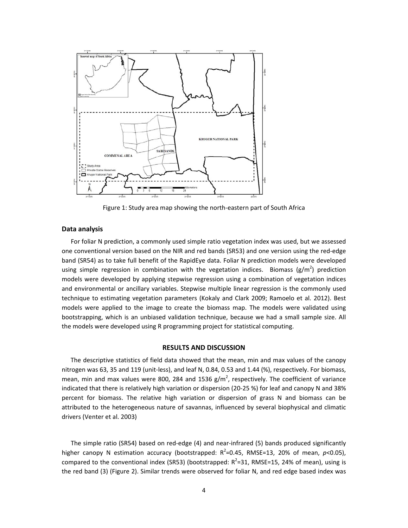

Figure 1: Study area map showing the north‐eastern part of South Africa

## **Data analysis**

For foliar N prediction, a commonly used simple ratio vegetation index was used, but we assessed one conventional version based on the NIR and red bands (SR53) and one version using the red‐edge band (SR54) as to take full benefit of the RapidEye data. Foliar N prediction models were developed using simple regression in combination with the vegetation indices. Biomass (g/m<sup>2</sup>) prediction models were developed by applying stepwise regression using a combination of vegetation indices and environmental or ancillary variables. Stepwise multiple linear regression is the commonly used technique to estimating vegetation parameters (Kokaly and Clark 2009; Ramoelo et al. 2012). Best models were applied to the image to create the biomass map. The models were validated using bootstrapping, which is an unbiased validation technique, because we had a small sample size. All the models were developed using R programming project for statistical computing.

#### **RESULTS AND DISCUSSION**

The descriptive statistics of field data showed that the mean, min and max values of the canopy nitrogen was 63, 35 and 119 (unit‐less), and leaf N, 0.84, 0.53 and 1.44 (%), respectively. For biomass, mean, min and max values were 800, 284 and 1536 g/m<sup>2</sup>, respectively. The coefficient of variance indicated that there is relatively high variation or dispersion (20‐25 %) for leaf and canopy N and 38% percent for biomass. The relative high variation or dispersion of grass N and biomass can be attributed to the heterogeneous nature of savannas, influenced by several biophysical and climatic drivers (Venter et al. 2003)

The simple ratio (SR54) based on red-edge (4) and near-infrared (5) bands produced significantly higher canopy N estimation accuracy (bootstrapped: R<sup>2</sup>=0.45, RMSE=13, 20% of mean, p<0.05), compared to the conventional index (SR53) (bootstrapped:  $R^2$ =31, RMSE=15, 24% of mean), using is the red band (3) (Figure 2). Similar trends were observed for foliar N, and red edge based index was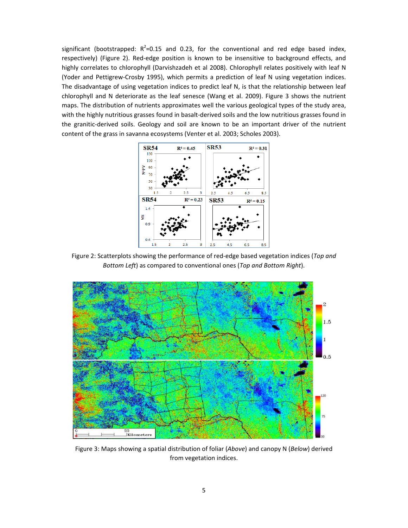significant (bootstrapped:  $R^2$ =0.15 and 0.23, for the conventional and red edge based index, respectively) (Figure 2). Red-edge position is known to be insensitive to background effects, and highly correlates to chlorophyll (Darvishzadeh et al 2008). Chlorophyll relates positively with leaf N (Yoder and Pettigrew‐Crosby 1995), which permits a prediction of leaf N using vegetation indices. The disadvantage of using vegetation indices to predict leaf N, is that the relationship between leaf chlorophyll and N deteriorate as the leaf senesce (Wang et al. 2009). Figure 3 shows the nutrient maps. The distribution of nutrients approximates well the various geological types of the study area, with the highly nutritious grasses found in basalt-derived soils and the low nutritious grasses found in the granitic-derived soils. Geology and soil are known to be an important driver of the nutrient content of the grass in savanna ecosystems (Venter et al. 2003; Scholes 2003).



Figure 2: Scatterplots showing the performance of red‐edge based vegetation indices (*Top and Bottom Left*) as compared to conventional ones (*Top and Bottom Right*).



Figure 3: Maps showing a spatial distribution of foliar (*Above*) and canopy N (*Below*) derived from vegetation indices.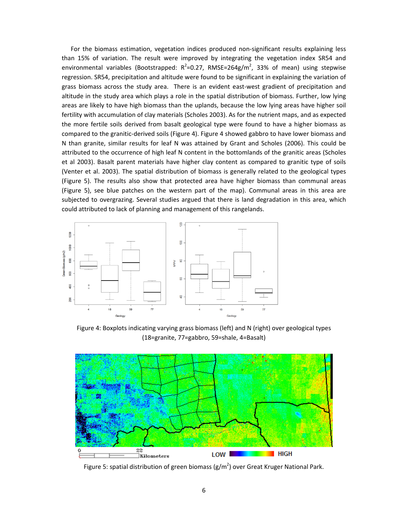For the biomass estimation, vegetation indices produced non-significant results explaining less than 15% of variation. The result were improved by integrating the vegetation index SR54 and environmental variables (Bootstrapped:  $R^2$ =0.27, RMSE=264g/m<sup>2</sup>, 33% of mean) using stepwise regression. SR54, precipitation and altitude were found to be significant in explaining the variation of grass biomass across the study area. There is an evident east-west gradient of precipitation and altitude in the study area which plays a role in the spatial distribution of biomass. Further, low lying areas are likely to have high biomass than the uplands, because the low lying areas have higher soil fertility with accumulation of clay materials (Scholes 2003). As for the nutrient maps, and as expected the more fertile soils derived from basalt geological type were found to have a higher biomass as compared to the granitic‐derived soils (Figure 4). Figure 4 showed gabbro to have lower biomass and N than granite, similar results for leaf N was attained by Grant and Scholes (2006). This could be attributed to the occurrence of high leaf N content in the bottomlands of the granitic areas (Scholes et al 2003). Basalt parent materials have higher clay content as compared to granitic type of soils (Venter et al. 2003). The spatial distribution of biomass is generally related to the geological types (Figure 5). The results also show that protected area have higher biomass than communal areas (Figure 5), see blue patches on the western part of the map). Communal areas in this area are subjected to overgrazing. Several studies argued that there is land degradation in this area, which could attributed to lack of planning and management of this rangelands.



Figure 4: Boxplots indicating varying grass biomass (left) and N (right) over geological types (18=granite, 77=gabbro, 59=shale, 4=Basalt)



Figure 5: spatial distribution of green biomass (g/m<sup>2</sup>) over Great Kruger National Park.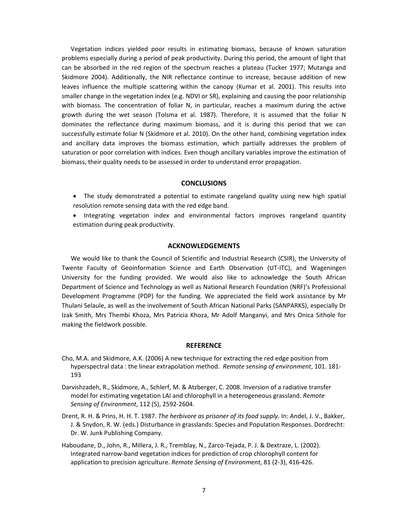Vegetation indices yielded poor results in estimating biomass, because of known saturation problems especially during a period of peak productivity. During this period, the amount of light that can be absorbed in the red region of the spectrum reaches a plateau (Tucker 1977; Mutanga and Skidmore 2004). Additionally, the NIR reflectance continue to increase, because addition of new leaves influence the multiple scattering within the canopy (Kumar et al. 2001). This results into smaller change in the vegetation index (e.g. NDVI or SR), explaining and causing the poor relationship with biomass. The concentration of foliar N, in particular, reaches a maximum during the active growth during the wet season (Tolsma et al. 1987). Therefore, it is assumed that the foliar N dominates the reflectance during maximum biomass, and it is during this period that we can successfully estimate foliar N (Skidmore et al. 2010). On the other hand, combining vegetation index and ancillary data improves the biomass estimation, which partially addresses the problem of saturation or poor correlation with indices. Even though ancillary variables improve the estimation of biomass, their quality needs to be assessed in order to understand error propagation.

## **CONCLUSIONS**

- The study demonstrated a potential to estimate rangeland quality using new high spatial resolution remote sensing data with the red edge band.
- Integrating vegetation index and environmental factors improves rangeland quantity estimation during peak productivity.

## **ACKNOWLEDGEMENTS**

We would like to thank the Council of Scientific and Industrial Research (CSIR), the University of Twente Faculty of Geoinformation Science and Earth Observation (UT‐ITC), and Wageningen University for the funding provided. We would also like to acknowledge the South African Department of Science and Technology as well as National Research Foundation (NRF)'s Professional Development Programme (PDP) for the funding. We appreciated the field work assistance by Mr Thulani Selaule, as well as the involvement of South African National Parks (SANPARKS), especially Dr Izak Smith, Mrs Thembi Khoza, Mrs Patricia Khoza, Mr Adolf Manganyi, and Mrs Onica Sithole for making the fieldwork possible.

## **REFERENCE**

- Cho, M.A. and Skidmore, A.K. (2006) A new technique for extracting the red edge position from hyperspectral data : the linear extrapolation method. *Remote sensing of environment*, 101. 181‐ 193
- Darvishzadeh, R., Skidmore, A., Schlerf, M. & Atzberger, C. 2008. Inversion of a radiative transfer model for estimating vegetation LAI and chlorophyll in a heterogeneous grassland. *Remote Sensing of Environment*, 112 (5), 2592‐2604.
- Drent, R. H. & Prins, H. H. T. 1987. *The herbivore as prisoner of its food supply*. In: Andel, J. V., Bakker, J. & Snydon, R. W. (eds.) Disturbance in grasslands: Species and Population Responses. Dordrecht: Dr. W. Junk Publishing Company.
- Haboudane, D., John, R., Millera, J. R., Tremblay, N., Zarco‐Tejada, P. J. & Dextraze, L. (2002). Integrated narrow‐band vegetation indices for prediction of crop chlorophyll content for application to precision agriculture. *Remote Sensing of Environment*, 81 (2‐3), 416‐426.